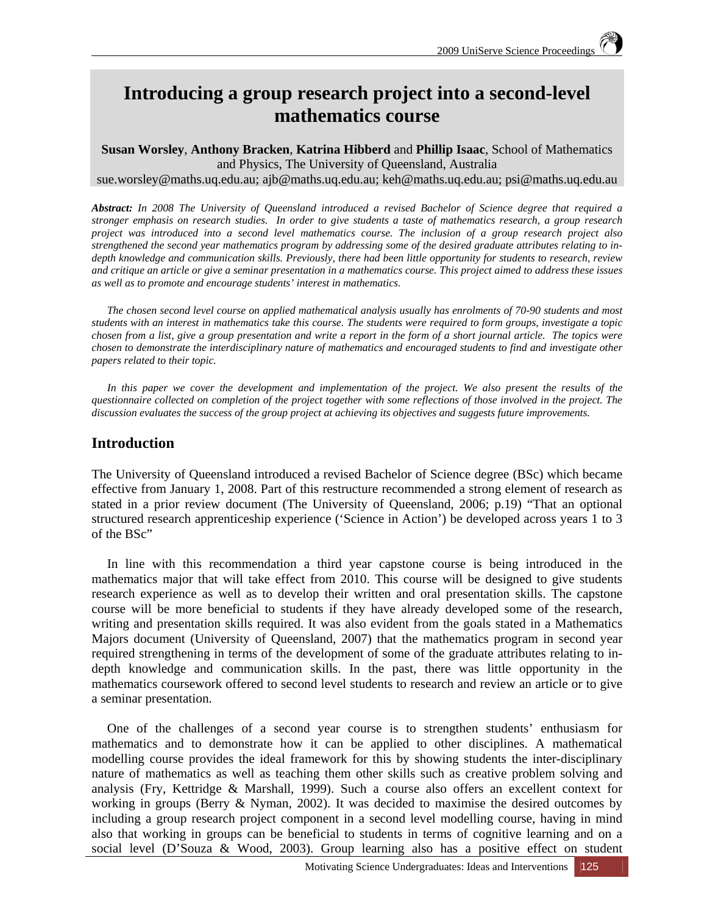# **Introducing a group research project into a second-level mathematics course**

**Susan Worsley**, **Anthony Bracken**, **Katrina Hibberd** and **Phillip Isaac**, School of Mathematics and Physics, The University of Queensland, Australia

sue.worsley@maths.uq.edu.au; ajb@maths.uq.edu.au; keh@maths.uq.edu.au; psi@maths.uq.edu.au

*Abstract: In 2008 The University of Queensland introduced a revised Bachelor of Science degree that required a stronger emphasis on research studies. In order to give students a taste of mathematics research, a group research project was introduced into a second level mathematics course. The inclusion of a group research project also strengthened the second year mathematics program by addressing some of the desired graduate attributes relating to indepth knowledge and communication skills. Previously, there had been little opportunity for students to research, review and critique an article or give a seminar presentation in a mathematics course. This project aimed to address these issues as well as to promote and encourage students' interest in mathematics.*

*The chosen second level course on applied mathematical analysis usually has enrolments of 70-90 students and most students with an interest in mathematics take this course. The students were required to form groups, investigate a topic chosen from a list, give a group presentation and write a report in the form of a short journal article. The topics were chosen to demonstrate the interdisciplinary nature of mathematics and encouraged students to find and investigate other papers related to their topic.* 

*In this paper we cover the development and implementation of the project. We also present the results of the questionnaire collected on completion of the project together with some reflections of those involved in the project. The discussion evaluates the success of the group project at achieving its objectives and suggests future improvements.* 

# **Introduction**

The University of Queensland introduced a revised Bachelor of Science degree (BSc) which became effective from January 1, 2008. Part of this restructure recommended a strong element of research as stated in a prior review document (The University of Queensland, 2006; p.19) "That an optional structured research apprenticeship experience ('Science in Action') be developed across years 1 to 3 of the BSc"

In line with this recommendation a third year capstone course is being introduced in the mathematics major that will take effect from 2010. This course will be designed to give students research experience as well as to develop their written and oral presentation skills. The capstone course will be more beneficial to students if they have already developed some of the research, writing and presentation skills required. It was also evident from the goals stated in a Mathematics Majors document (University of Queensland, 2007) that the mathematics program in second year required strengthening in terms of the development of some of the graduate attributes relating to indepth knowledge and communication skills. In the past, there was little opportunity in the mathematics coursework offered to second level students to research and review an article or to give a seminar presentation.

One of the challenges of a second year course is to strengthen students' enthusiasm for mathematics and to demonstrate how it can be applied to other disciplines. A mathematical modelling course provides the ideal framework for this by showing students the inter-disciplinary nature of mathematics as well as teaching them other skills such as creative problem solving and analysis (Fry, Kettridge & Marshall, 1999). Such a course also offers an excellent context for working in groups (Berry & Nyman, 2002). It was decided to maximise the desired outcomes by including a group research project component in a second level modelling course, having in mind also that working in groups can be beneficial to students in terms of cognitive learning and on a social level (D'Souza & Wood, 2003). Group learning also has a positive effect on student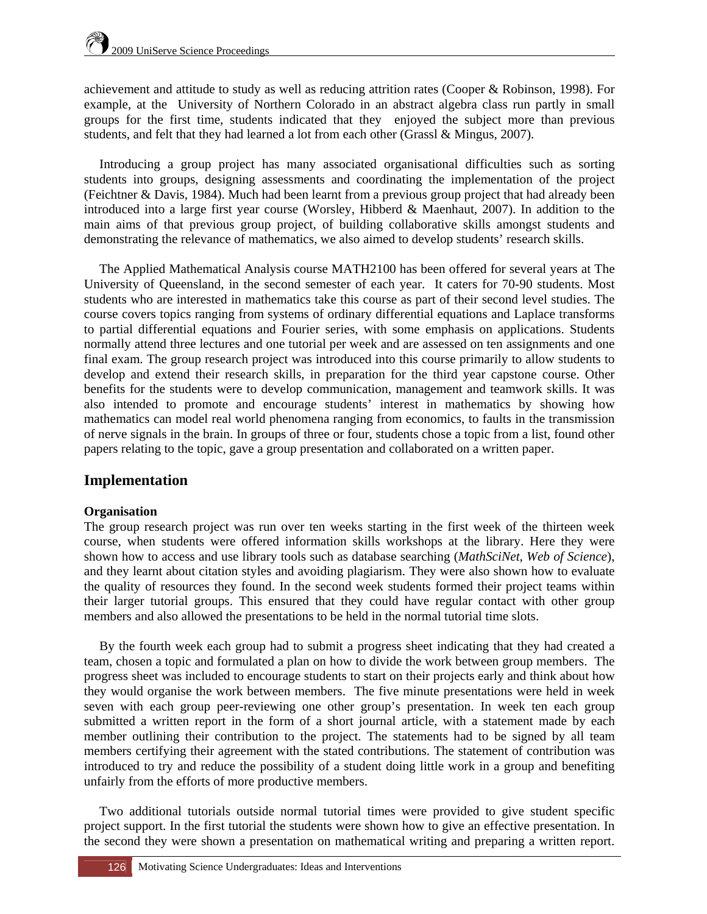achievement and attitude to study as well as reducing attrition rates (Cooper & Robinson, 1998). For example, at the University of Northern Colorado in an abstract algebra class run partly in small groups for the first time, students indicated that they enjoyed the subject more than previous students, and felt that they had learned a lot from each other (Grassl & Mingus, 2007).

Introducing a group project has many associated organisational difficulties such as sorting students into groups, designing assessments and coordinating the implementation of the project (Feichtner & Davis, 1984). Much had been learnt from a previous group project that had already been introduced into a large first year course (Worsley, Hibberd & Maenhaut, 2007). In addition to the main aims of that previous group project, of building collaborative skills amongst students and demonstrating the relevance of mathematics, we also aimed to develop students' research skills.

The Applied Mathematical Analysis course MATH2100 has been offered for several years at The University of Queensland, in the second semester of each year. It caters for 70-90 students. Most students who are interested in mathematics take this course as part of their second level studies. The course covers topics ranging from systems of ordinary differential equations and Laplace transforms to partial differential equations and Fourier series, with some emphasis on applications. Students normally attend three lectures and one tutorial per week and are assessed on ten assignments and one final exam. The group research project was introduced into this course primarily to allow students to develop and extend their research skills, in preparation for the third year capstone course. Other benefits for the students were to develop communication, management and teamwork skills. It was also intended to promote and encourage students' interest in mathematics by showing how mathematics can model real world phenomena ranging from economics, to faults in the transmission of nerve signals in the brain. In groups of three or four, students chose a topic from a list, found other papers relating to the topic, gave a group presentation and collaborated on a written paper.

# **Implementation**

## **Organisation**

The group research project was run over ten weeks starting in the first week of the thirteen week course, when students were offered information skills workshops at the library. Here they were shown how to access and use library tools such as database searching (*MathSciNet*, *Web of Science*), and they learnt about citation styles and avoiding plagiarism. They were also shown how to evaluate the quality of resources they found. In the second week students formed their project teams within their larger tutorial groups. This ensured that they could have regular contact with other group members and also allowed the presentations to be held in the normal tutorial time slots.

By the fourth week each group had to submit a progress sheet indicating that they had created a team, chosen a topic and formulated a plan on how to divide the work between group members. The progress sheet was included to encourage students to start on their projects early and think about how they would organise the work between members. The five minute presentations were held in week seven with each group peer-reviewing one other group's presentation. In week ten each group submitted a written report in the form of a short journal article, with a statement made by each member outlining their contribution to the project. The statements had to be signed by all team members certifying their agreement with the stated contributions. The statement of contribution was introduced to try and reduce the possibility of a student doing little work in a group and benefiting unfairly from the efforts of more productive members.

Two additional tutorials outside normal tutorial times were provided to give student specific project support. In the first tutorial the students were shown how to give an effective presentation. In the second they were shown a presentation on mathematical writing and preparing a written report.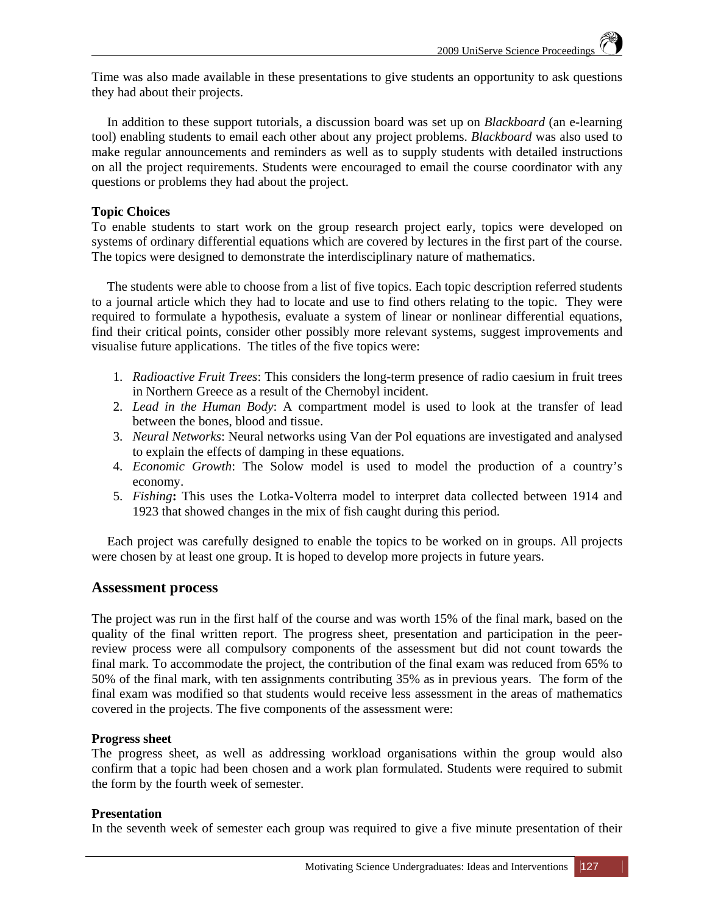Time was also made available in these presentations to give students an opportunity to ask questions they had about their projects.

In addition to these support tutorials, a discussion board was set up on *Blackboard* (an e-learning tool) enabling students to email each other about any project problems. *Blackboard* was also used to make regular announcements and reminders as well as to supply students with detailed instructions on all the project requirements. Students were encouraged to email the course coordinator with any questions or problems they had about the project.

### **Topic Choices**

To enable students to start work on the group research project early, topics were developed on systems of ordinary differential equations which are covered by lectures in the first part of the course. The topics were designed to demonstrate the interdisciplinary nature of mathematics.

The students were able to choose from a list of five topics. Each topic description referred students to a journal article which they had to locate and use to find others relating to the topic. They were required to formulate a hypothesis, evaluate a system of linear or nonlinear differential equations, find their critical points, consider other possibly more relevant systems, suggest improvements and visualise future applications. The titles of the five topics were:

- 1. *Radioactive Fruit Trees*: This considers the long-term presence of radio caesium in fruit trees in Northern Greece as a result of the Chernobyl incident.
- 2. *Lead in the Human Body*: A compartment model is used to look at the transfer of lead between the bones, blood and tissue.
- 3. *Neural Networks*: Neural networks using Van der Pol equations are investigated and analysed to explain the effects of damping in these equations.
- 4. *Economic Growth*: The Solow model is used to model the production of a country's economy.
- 5. *Fishing***:** This uses the Lotka-Volterra model to interpret data collected between 1914 and 1923 that showed changes in the mix of fish caught during this period.

Each project was carefully designed to enable the topics to be worked on in groups. All projects were chosen by at least one group. It is hoped to develop more projects in future years.

## **Assessment process**

The project was run in the first half of the course and was worth 15% of the final mark, based on the quality of the final written report. The progress sheet, presentation and participation in the peerreview process were all compulsory components of the assessment but did not count towards the final mark. To accommodate the project, the contribution of the final exam was reduced from 65% to 50% of the final mark, with ten assignments contributing 35% as in previous years. The form of the final exam was modified so that students would receive less assessment in the areas of mathematics covered in the projects. The five components of the assessment were:

#### **Progress sheet**

The progress sheet, as well as addressing workload organisations within the group would also confirm that a topic had been chosen and a work plan formulated. Students were required to submit the form by the fourth week of semester.

#### **Presentation**

In the seventh week of semester each group was required to give a five minute presentation of their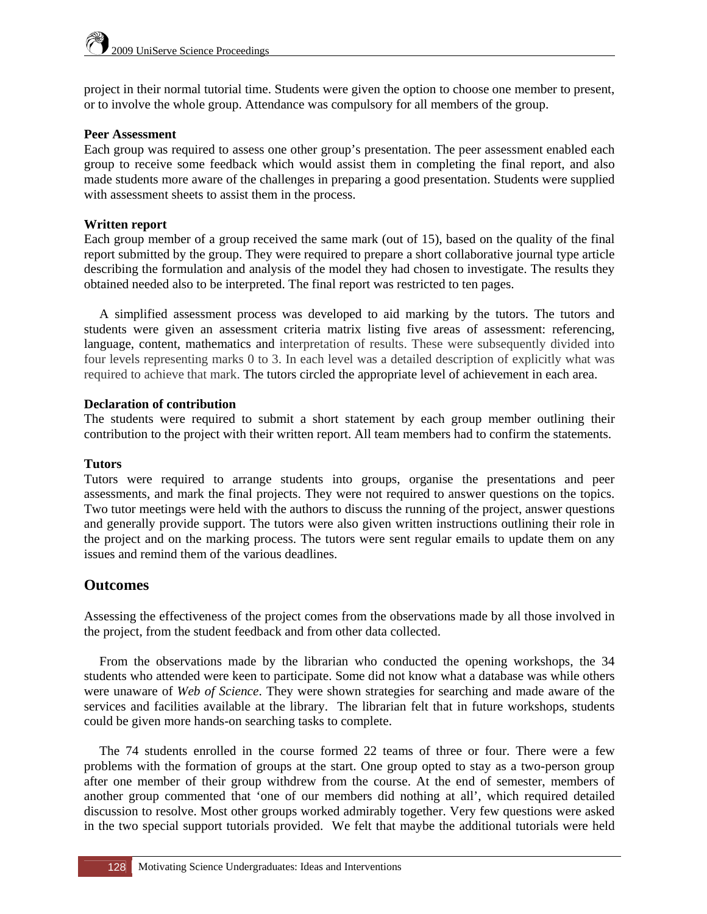project in their normal tutorial time. Students were given the option to choose one member to present, or to involve the whole group. Attendance was compulsory for all members of the group.

#### **Peer Assessment**

Each group was required to assess one other group's presentation. The peer assessment enabled each group to receive some feedback which would assist them in completing the final report, and also made students more aware of the challenges in preparing a good presentation. Students were supplied with assessment sheets to assist them in the process.

## **Written report**

Each group member of a group received the same mark (out of 15), based on the quality of the final report submitted by the group. They were required to prepare a short collaborative journal type article describing the formulation and analysis of the model they had chosen to investigate. The results they obtained needed also to be interpreted. The final report was restricted to ten pages.

A simplified assessment process was developed to aid marking by the tutors. The tutors and students were given an assessment criteria matrix listing five areas of assessment: referencing, language, content, mathematics and interpretation of results. These were subsequently divided into four levels representing marks 0 to 3. In each level was a detailed description of explicitly what was required to achieve that mark. The tutors circled the appropriate level of achievement in each area.

### **Declaration of contribution**

The students were required to submit a short statement by each group member outlining their contribution to the project with their written report. All team members had to confirm the statements.

## **Tutors**

Tutors were required to arrange students into groups, organise the presentations and peer assessments, and mark the final projects. They were not required to answer questions on the topics. Two tutor meetings were held with the authors to discuss the running of the project, answer questions and generally provide support. The tutors were also given written instructions outlining their role in the project and on the marking process. The tutors were sent regular emails to update them on any issues and remind them of the various deadlines.

# **Outcomes**

Assessing the effectiveness of the project comes from the observations made by all those involved in the project, from the student feedback and from other data collected.

From the observations made by the librarian who conducted the opening workshops, the 34 students who attended were keen to participate. Some did not know what a database was while others were unaware of *Web of Science*. They were shown strategies for searching and made aware of the services and facilities available at the library. The librarian felt that in future workshops, students could be given more hands-on searching tasks to complete.

The 74 students enrolled in the course formed 22 teams of three or four. There were a few problems with the formation of groups at the start. One group opted to stay as a two-person group after one member of their group withdrew from the course. At the end of semester, members of another group commented that 'one of our members did nothing at all', which required detailed discussion to resolve. Most other groups worked admirably together. Very few questions were asked in the two special support tutorials provided. We felt that maybe the additional tutorials were held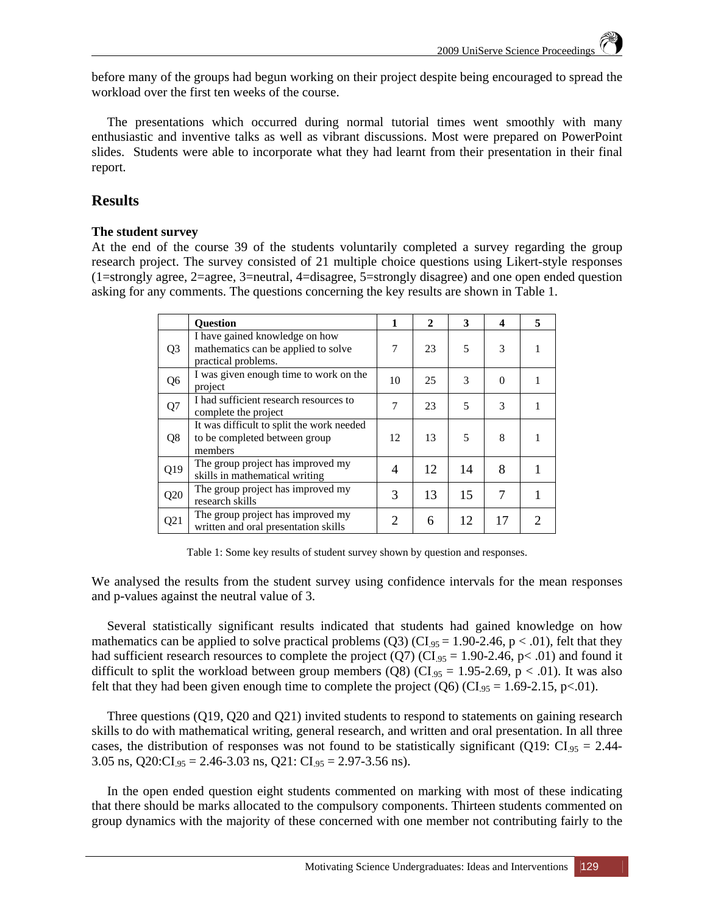before many of the groups had begun working on their project despite being encouraged to spread the workload over the first ten weeks of the course.

The presentations which occurred during normal tutorial times went smoothly with many enthusiastic and inventive talks as well as vibrant discussions. Most were prepared on PowerPoint slides. Students were able to incorporate what they had learnt from their presentation in their final report.

# **Results**

### **The student survey**

At the end of the course 39 of the students voluntarily completed a survey regarding the group research project. The survey consisted of 21 multiple choice questions using Likert-style responses (1=strongly agree, 2=agree, 3=neutral, 4=disagree, 5=strongly disagree) and one open ended question asking for any comments. The questions concerning the key results are shown in Table 1.

|                | <b>Ouestion</b>                                                                              | 1              | $\overline{2}$ | 3  | $\boldsymbol{4}$ | 5             |
|----------------|----------------------------------------------------------------------------------------------|----------------|----------------|----|------------------|---------------|
| Q <sub>3</sub> | I have gained knowledge on how<br>mathematics can be applied to solve<br>practical problems. | 7              | 23             | 5  | 3                |               |
| Q6             | I was given enough time to work on the<br>project                                            | 10             | 25             | 3  | $\Omega$         |               |
| Q7             | I had sufficient research resources to<br>complete the project                               | 7              | 23             | 5  | $\mathcal{R}$    |               |
| Q <sub>8</sub> | It was difficult to split the work needed<br>to be completed between group<br>members        | 12             | 13             | 5  | 8                |               |
| Q19            | The group project has improved my<br>skills in mathematical writing                          | $\overline{4}$ | 12             | 14 | 8                |               |
| Q20            | The group project has improved my<br>research skills                                         | 3              | 13             | 15 | 7                |               |
| Q21            | The group project has improved my<br>written and oral presentation skills                    | 2              | 6              | 12 | 17               | $\mathcal{D}$ |

Table 1: Some key results of student survey shown by question and responses.

We analysed the results from the student survey using confidence intervals for the mean responses and p-values against the neutral value of 3.

Several statistically significant results indicated that students had gained knowledge on how mathematics can be applied to solve practical problems (Q3) (CI.95 = 1.90-2.46, p < .01), felt that they had sufficient research resources to complete the project (Q7) (CI<sub>.95</sub> = 1.90-2.46, p< .01) and found it difficult to split the workload between group members (Q8) (CI<sub>.95</sub> = 1.95-2.69, p < .01). It was also felt that they had been given enough time to complete the project  $(Q6)$  (CI<sub>.95</sub> = 1.69-2.15, p<.01).

Three questions (Q19, Q20 and Q21) invited students to respond to statements on gaining research skills to do with mathematical writing, general research, and written and oral presentation. In all three cases, the distribution of responses was not found to be statistically significant (Q19:  $CI_{.95} = 2.44$ -3.05 ns,  $Q20:CI_{.95} = 2.46-3.03$  ns,  $Q21:CI_{.95} = 2.97-3.56$  ns).

In the open ended question eight students commented on marking with most of these indicating that there should be marks allocated to the compulsory components. Thirteen students commented on group dynamics with the majority of these concerned with one member not contributing fairly to the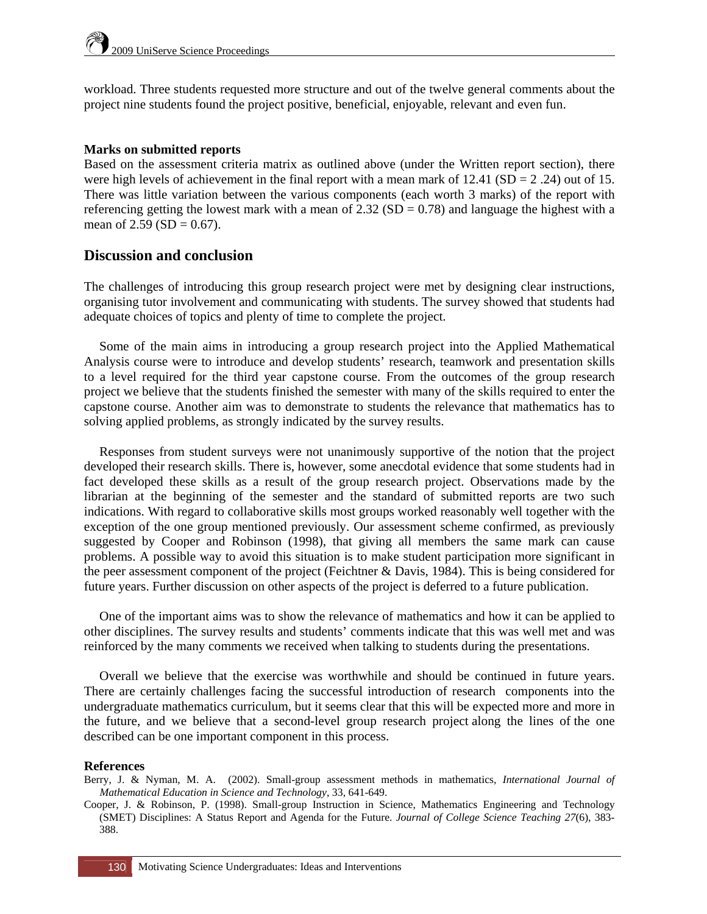workload. Three students requested more structure and out of the twelve general comments about the project nine students found the project positive, beneficial, enjoyable, relevant and even fun.

#### **Marks on submitted reports**

Based on the assessment criteria matrix as outlined above (under the Written report section), there were high levels of achievement in the final report with a mean mark of  $12.41$  (SD = 2.24) out of 15. There was little variation between the various components (each worth 3 marks) of the report with referencing getting the lowest mark with a mean of  $2.32$  (SD = 0.78) and language the highest with a mean of  $2.59$  (SD = 0.67).

# **Discussion and conclusion**

The challenges of introducing this group research project were met by designing clear instructions, organising tutor involvement and communicating with students. The survey showed that students had adequate choices of topics and plenty of time to complete the project.

Some of the main aims in introducing a group research project into the Applied Mathematical Analysis course were to introduce and develop students' research, teamwork and presentation skills to a level required for the third year capstone course. From the outcomes of the group research project we believe that the students finished the semester with many of the skills required to enter the capstone course. Another aim was to demonstrate to students the relevance that mathematics has to solving applied problems, as strongly indicated by the survey results.

Responses from student surveys were not unanimously supportive of the notion that the project developed their research skills. There is, however, some anecdotal evidence that some students had in fact developed these skills as a result of the group research project. Observations made by the librarian at the beginning of the semester and the standard of submitted reports are two such indications. With regard to collaborative skills most groups worked reasonably well together with the exception of the one group mentioned previously. Our assessment scheme confirmed, as previously suggested by Cooper and Robinson (1998), that giving all members the same mark can cause problems. A possible way to avoid this situation is to make student participation more significant in the peer assessment component of the project (Feichtner & Davis, 1984). This is being considered for future years. Further discussion on other aspects of the project is deferred to a future publication.

One of the important aims was to show the relevance of mathematics and how it can be applied to other disciplines. The survey results and students' comments indicate that this was well met and was reinforced by the many comments we received when talking to students during the presentations.

Overall we believe that the exercise was worthwhile and should be continued in future years. There are certainly challenges facing the successful introduction of research components into the undergraduate mathematics curriculum, but it seems clear that this will be expected more and more in the future, and we believe that a second-level group research project along the lines of the one described can be one important component in this process.

#### **References**

- Berry, J. & Nyman, M. A. (2002). Small-group assessment methods in mathematics, *International Journal of Mathematical Education in Science and Technology*, 33, 641-649.
- Cooper, J. & Robinson, P. (1998). Small-group Instruction in Science, Mathematics Engineering and Technology (SMET) Disciplines: A Status Report and Agenda for the Future. *Journal of College Science Teaching 27*(6), 383- 388.